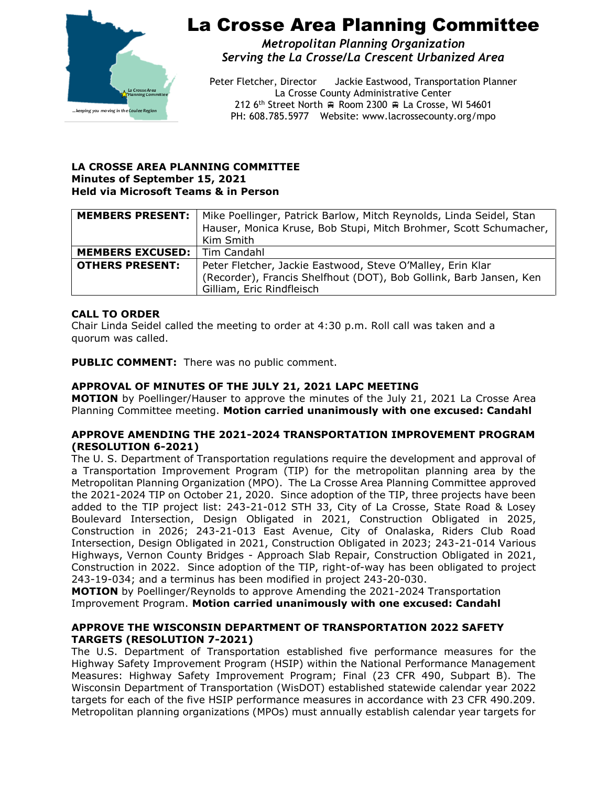

# La Crosse Area Planning Committee

*Metropolitan Planning Organization Serving the La Crosse/La Crescent Urbanized Area*

Peter Fletcher, Director Jackie Eastwood, Transportation Planner La Crosse County Administrative Center 212 6<sup>th</sup> Street North  $\oplus$  Room 2300  $\oplus$  La Crosse, WI 54601 PH: 608.785.5977 Website: www.lacrossecounty.org/mpo

#### **LA CROSSE AREA PLANNING COMMITTEE Minutes of September 15, 2021 Held via Microsoft Teams & in Person**

|                                       | <b>MEMBERS PRESENT:</b>   Mike Poellinger, Patrick Barlow, Mitch Reynolds, Linda Seidel, Stan |
|---------------------------------------|-----------------------------------------------------------------------------------------------|
|                                       | Hauser, Monica Kruse, Bob Stupi, Mitch Brohmer, Scott Schumacher,                             |
|                                       | Kim Smith                                                                                     |
| <b>MEMBERS EXCUSED:</b>   Tim Candahl |                                                                                               |
| <b>OTHERS PRESENT:</b>                | Peter Fletcher, Jackie Eastwood, Steve O'Malley, Erin Klar                                    |
|                                       | (Recorder), Francis Shelfhout (DOT), Bob Gollink, Barb Jansen, Ken                            |
|                                       | Gilliam, Eric Rindfleisch                                                                     |

## **CALL TO ORDER**

Chair Linda Seidel called the meeting to order at 4:30 p.m. Roll call was taken and a quorum was called.

**PUBLIC COMMENT:** There was no public comment.

#### **APPROVAL OF MINUTES OF THE JULY 21, 2021 LAPC MEETING**

**MOTION** by Poellinger/Hauser to approve the minutes of the July 21, 2021 La Crosse Area Planning Committee meeting. **Motion carried unanimously with one excused: Candahl** 

#### **APPROVE AMENDING THE 2021-2024 TRANSPORTATION IMPROVEMENT PROGRAM (RESOLUTION 6-2021)**

The U. S. Department of Transportation regulations require the development and approval of a Transportation Improvement Program (TIP) for the metropolitan planning area by the Metropolitan Planning Organization (MPO). The La Crosse Area Planning Committee approved the 2021-2024 TIP on October 21, 2020. Since adoption of the TIP, three projects have been added to the TIP project list: 243-21-012 STH 33, City of La Crosse, State Road & Losey Boulevard Intersection, Design Obligated in 2021, Construction Obligated in 2025, Construction in 2026; 243-21-013 East Avenue, City of Onalaska, Riders Club Road Intersection, Design Obligated in 2021, Construction Obligated in 2023; 243-21-014 Various Highways, Vernon County Bridges - Approach Slab Repair, Construction Obligated in 2021, Construction in 2022. Since adoption of the TIP, right-of-way has been obligated to project 243-19-034; and a terminus has been modified in project 243-20-030.

**MOTION** by Poellinger/Reynolds to approve Amending the 2021-2024 Transportation Improvement Program. **Motion carried unanimously with one excused: Candahl** 

#### **APPROVE THE WISCONSIN DEPARTMENT OF TRANSPORTATION 2022 SAFETY TARGETS (RESOLUTION 7-2021)**

The U.S. Department of Transportation established five performance measures for the Highway Safety Improvement Program (HSIP) within the National Performance Management Measures: Highway Safety Improvement Program; Final (23 CFR 490, Subpart B). The Wisconsin Department of Transportation (WisDOT) established statewide calendar year 2022 targets for each of the five HSIP performance measures in accordance with 23 CFR 490.209. Metropolitan planning organizations (MPOs) must annually establish calendar year targets for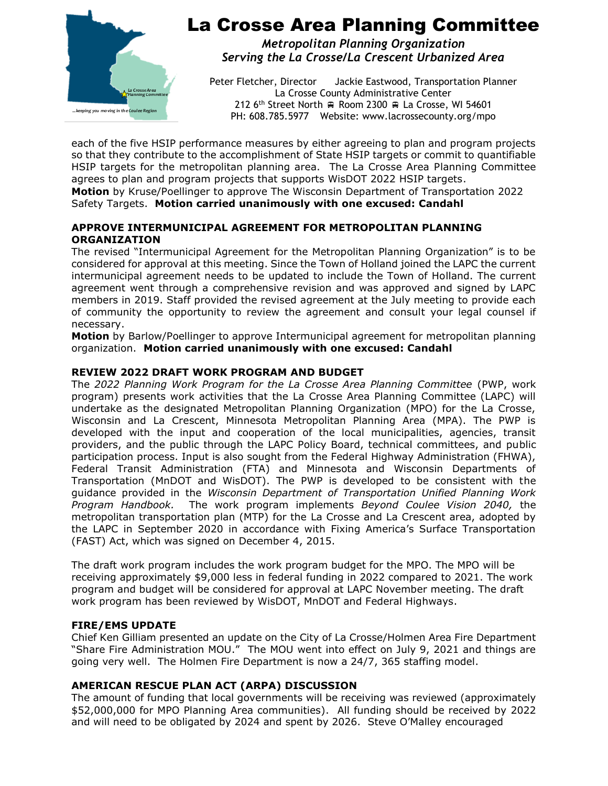

# La Crosse Area Planning Committee

*Metropolitan Planning Organization Serving the La Crosse/La Crescent Urbanized Area*

Peter Fletcher, Director Jackie Eastwood, Transportation Planner La Crosse County Administrative Center 212 6<sup>th</sup> Street North  $\oplus$  Room 2300  $\oplus$  La Crosse, WI 54601 PH: 608.785.5977 Website: www.lacrossecounty.org/mpo

each of the five HSIP performance measures by either agreeing to plan and program projects so that they contribute to the accomplishment of State HSIP targets or commit to quantifiable HSIP targets for the metropolitan planning area. The La Crosse Area Planning Committee agrees to plan and program projects that supports WisDOT 2022 HSIP targets. **Motion** by Kruse/Poellinger to approve The Wisconsin Department of Transportation 2022

Safety Targets. **Motion carried unanimously with one excused: Candahl**

## **APPROVE INTERMUNICIPAL AGREEMENT FOR METROPOLITAN PLANNING ORGANIZATION**

The revised "Intermunicipal Agreement for the Metropolitan Planning Organization" is to be considered for approval at this meeting. Since the Town of Holland joined the LAPC the current intermunicipal agreement needs to be updated to include the Town of Holland. The current agreement went through a comprehensive revision and was approved and signed by LAPC members in 2019. Staff provided the revised agreement at the July meeting to provide each of community the opportunity to review the agreement and consult your legal counsel if necessary.

**Motion** by Barlow/Poellinger to approve Intermunicipal agreement for metropolitan planning organization. **Motion carried unanimously with one excused: Candahl**

## **REVIEW 2022 DRAFT WORK PROGRAM AND BUDGET**

The *2022 Planning Work Program for the La Crosse Area Planning Committee* (PWP, work program) presents work activities that the La Crosse Area Planning Committee (LAPC) will undertake as the designated Metropolitan Planning Organization (MPO) for the La Crosse, Wisconsin and La Crescent, Minnesota Metropolitan Planning Area (MPA). The PWP is developed with the input and cooperation of the local municipalities, agencies, transit providers, and the public through the LAPC Policy Board, technical committees, and public participation process. Input is also sought from the Federal Highway Administration (FHWA), Federal Transit Administration (FTA) and Minnesota and Wisconsin Departments of Transportation (MnDOT and WisDOT). The PWP is developed to be consistent with the guidance provided in the *Wisconsin Department of Transportation Unified Planning Work Program Handbook.* The work program implements *Beyond Coulee Vision 2040,* the metropolitan transportation plan (MTP) for the La Crosse and La Crescent area, adopted by the LAPC in September 2020 in accordance with Fixing America's Surface Transportation (FAST) Act, which was signed on December 4, 2015.

The draft work program includes the work program budget for the MPO. The MPO will be receiving approximately \$9,000 less in federal funding in 2022 compared to 2021. The work program and budget will be considered for approval at LAPC November meeting. The draft work program has been reviewed by WisDOT, MnDOT and Federal Highways.

## **FIRE/EMS UPDATE**

Chief Ken Gilliam presented an update on the City of La Crosse/Holmen Area Fire Department "Share Fire Administration MOU." The MOU went into effect on July 9, 2021 and things are going very well. The Holmen Fire Department is now a 24/7, 365 staffing model.

## **AMERICAN RESCUE PLAN ACT (ARPA) DISCUSSION**

The amount of funding that local governments will be receiving was reviewed (approximately \$52,000,000 for MPO Planning Area communities). All funding should be received by 2022 and will need to be obligated by 2024 and spent by 2026. Steve O'Malley encouraged